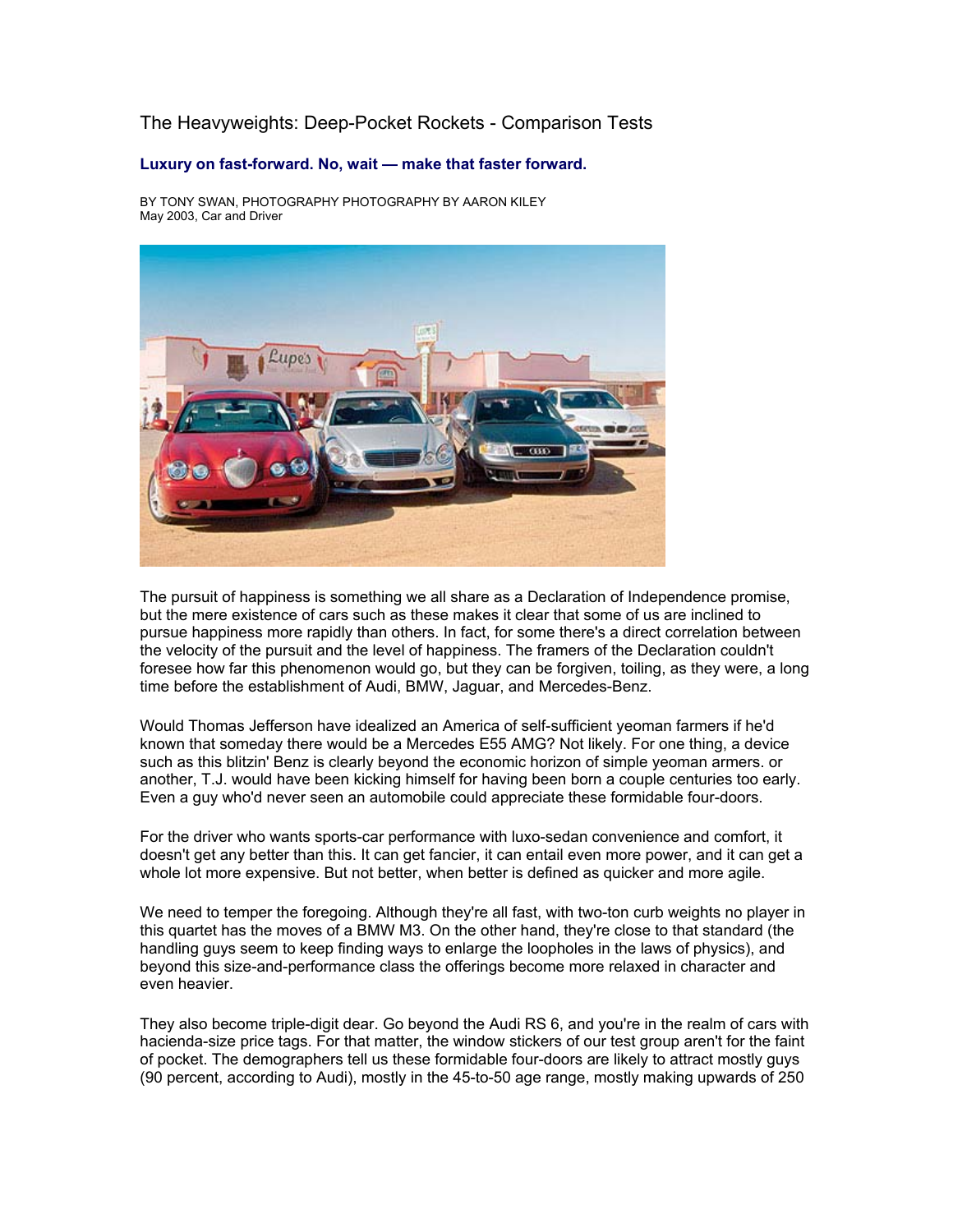# The Heavyweights: Deep-Pocket Rockets - Comparison Tests

## **Luxury on fast-forward. No, wait — make that faster forward.**

BY TONY SWAN, PHOTOGRAPHY PHOTOGRAPHY BY AARON KILEY May 2003, Car and Driver



The pursuit of happiness is something we all share as a Declaration of Independence promise, but the mere existence of cars such as these makes it clear that some of us are inclined to pursue happiness more rapidly than others. In fact, for some there's a direct correlation between the velocity of the pursuit and the level of happiness. The framers of the Declaration couldn't foresee how far this phenomenon would go, but they can be forgiven, toiling, as they were, a long time before the establishment of Audi, BMW, Jaguar, and Mercedes-Benz.

Would Thomas Jefferson have idealized an America of self-sufficient yeoman farmers if he'd known that someday there would be a Mercedes E55 AMG? Not likely. For one thing, a device such as this blitzin' Benz is clearly beyond the economic horizon of simple yeoman armers. or another, T.J. would have been kicking himself for having been born a couple centuries too early. Even a guy who'd never seen an automobile could appreciate these formidable four-doors.

For the driver who wants sports-car performance with luxo-sedan convenience and comfort, it doesn't get any better than this. It can get fancier, it can entail even more power, and it can get a whole lot more expensive. But not better, when better is defined as quicker and more agile.

We need to temper the foregoing. Although they're all fast, with two-ton curb weights no player in this quartet has the moves of a BMW M3. On the other hand, they're close to that standard (the handling guys seem to keep finding ways to enlarge the loopholes in the laws of physics), and beyond this size-and-performance class the offerings become more relaxed in character and even heavier.

They also become triple-digit dear. Go beyond the Audi RS 6, and you're in the realm of cars with hacienda-size price tags. For that matter, the window stickers of our test group aren't for the faint of pocket. The demographers tell us these formidable four-doors are likely to attract mostly guys (90 percent, according to Audi), mostly in the 45-to-50 age range, mostly making upwards of 250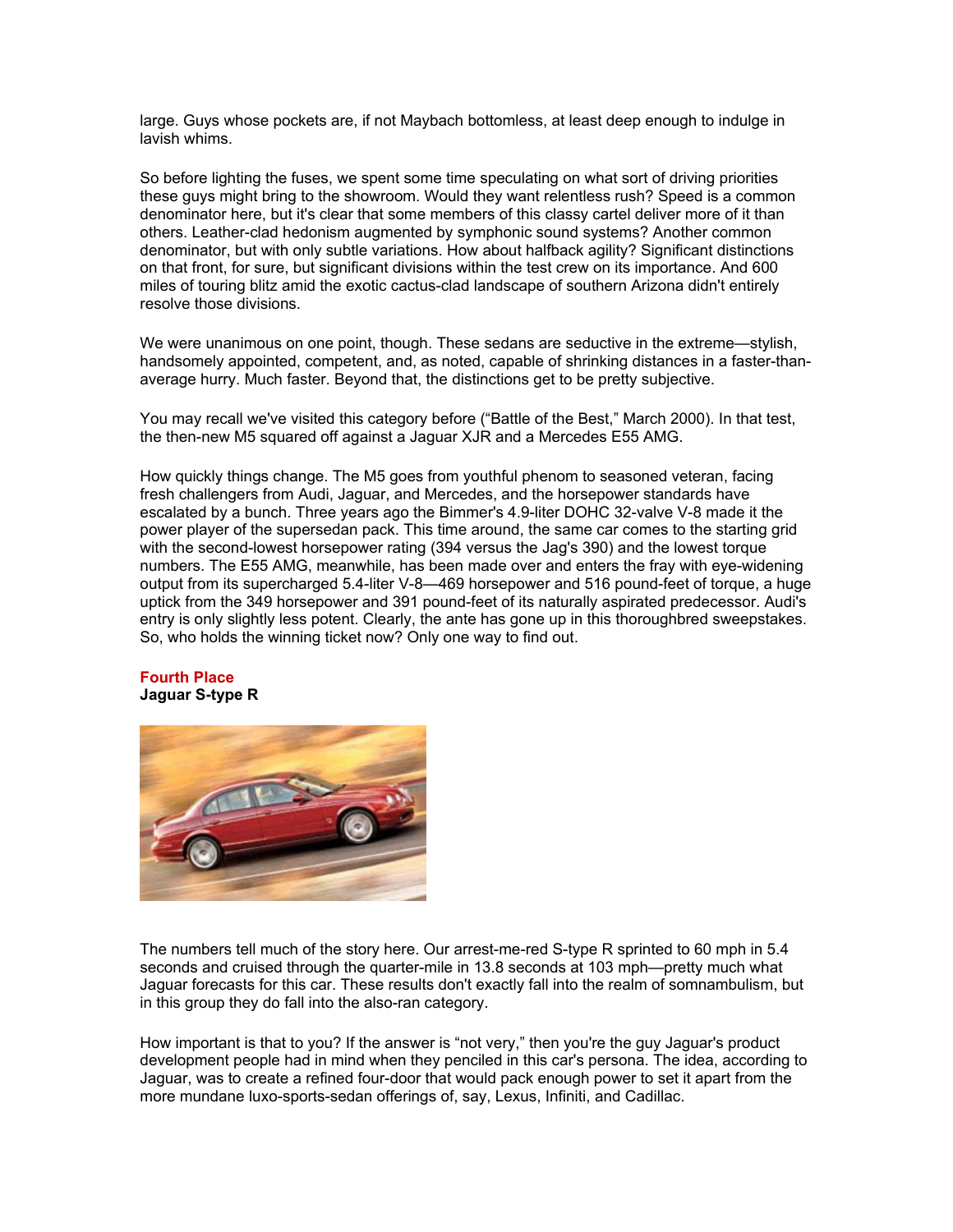large. Guys whose pockets are, if not Maybach bottomless, at least deep enough to indulge in lavish whims.

So before lighting the fuses, we spent some time speculating on what sort of driving priorities these guys might bring to the showroom. Would they want relentless rush? Speed is a common denominator here, but it's clear that some members of this classy cartel deliver more of it than others. Leather-clad hedonism augmented by symphonic sound systems? Another common denominator, but with only subtle variations. How about halfback agility? Significant distinctions on that front, for sure, but significant divisions within the test crew on its importance. And 600 miles of touring blitz amid the exotic cactus-clad landscape of southern Arizona didn't entirely resolve those divisions.

We were unanimous on one point, though. These sedans are seductive in the extreme—stylish, handsomely appointed, competent, and, as noted, capable of shrinking distances in a faster-thanaverage hurry. Much faster. Beyond that, the distinctions get to be pretty subjective.

You may recall we've visited this category before ("Battle of the Best," March 2000). In that test, the then-new M5 squared off against a Jaguar XJR and a Mercedes E55 AMG.

How quickly things change. The M5 goes from youthful phenom to seasoned veteran, facing fresh challengers from Audi, Jaguar, and Mercedes, and the horsepower standards have escalated by a bunch. Three years ago the Bimmer's 4.9-liter DOHC 32-valve V-8 made it the power player of the supersedan pack. This time around, the same car comes to the starting grid with the second-lowest horsepower rating (394 versus the Jag's 390) and the lowest torque numbers. The E55 AMG, meanwhile, has been made over and enters the fray with eye-widening output from its supercharged 5.4-liter V-8—469 horsepower and 516 pound-feet of torque, a huge uptick from the 349 horsepower and 391 pound-feet of its naturally aspirated predecessor. Audi's entry is only slightly less potent. Clearly, the ante has gone up in this thoroughbred sweepstakes. So, who holds the winning ticket now? Only one way to find out.

### **Fourth Place Jaguar S-type R**



The numbers tell much of the story here. Our arrest-me-red S-type R sprinted to 60 mph in 5.4 seconds and cruised through the quarter-mile in 13.8 seconds at 103 mph—pretty much what Jaguar forecasts for this car. These results don't exactly fall into the realm of somnambulism, but in this group they do fall into the also-ran category.

How important is that to you? If the answer is "not very," then you're the guy Jaguar's product development people had in mind when they penciled in this car's persona. The idea, according to Jaguar, was to create a refined four-door that would pack enough power to set it apart from the more mundane luxo-sports-sedan offerings of, say, Lexus, Infiniti, and Cadillac.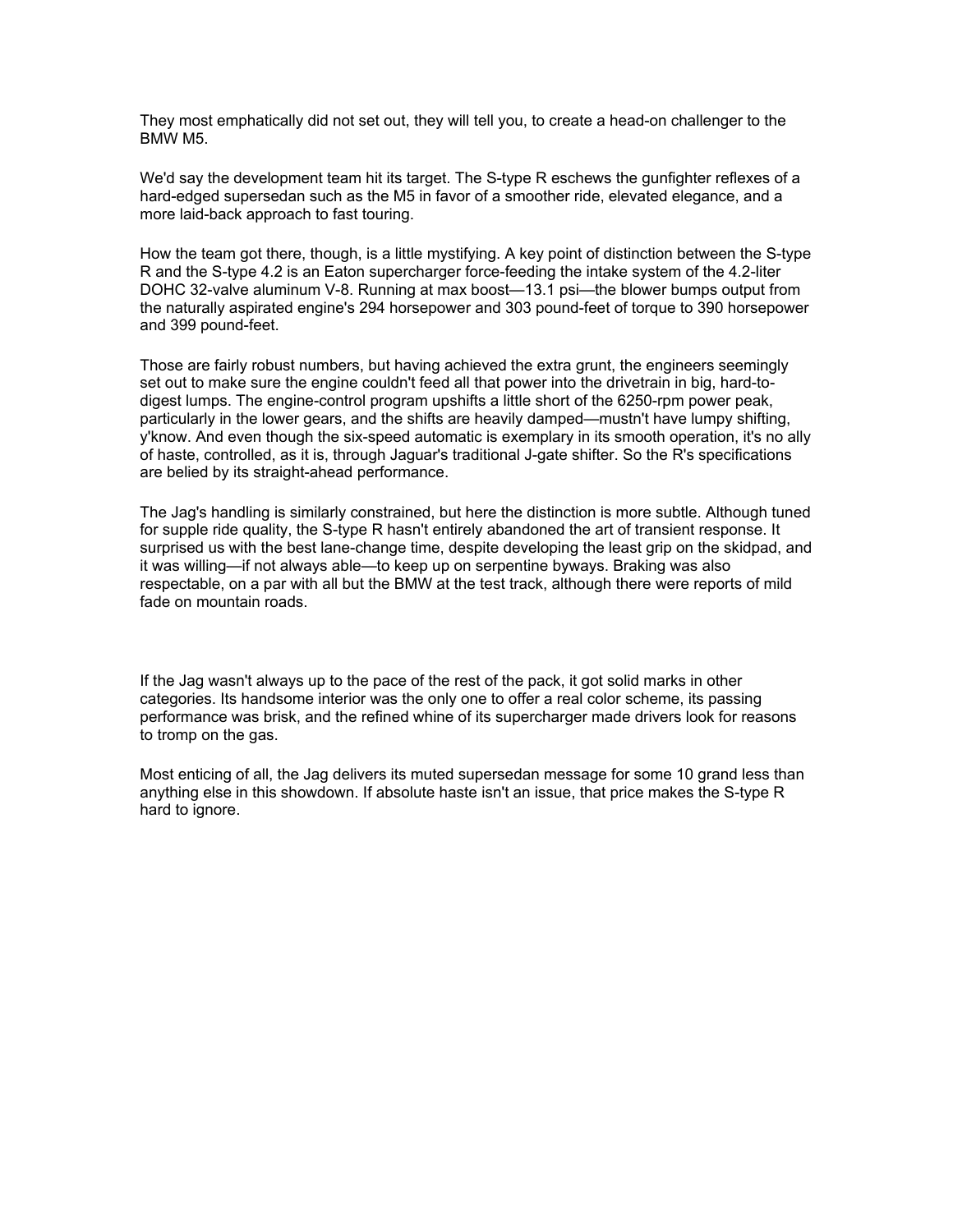They most emphatically did not set out, they will tell you, to create a head-on challenger to the BMW M5.

We'd say the development team hit its target. The S-type R eschews the gunfighter reflexes of a hard-edged supersedan such as the M5 in favor of a smoother ride, elevated elegance, and a more laid-back approach to fast touring.

How the team got there, though, is a little mystifying. A key point of distinction between the S-type R and the S-type 4.2 is an Eaton supercharger force-feeding the intake system of the 4.2-liter DOHC 32-valve aluminum V-8. Running at max boost—13.1 psi—the blower bumps output from the naturally aspirated engine's 294 horsepower and 303 pound-feet of torque to 390 horsepower and 399 pound-feet.

Those are fairly robust numbers, but having achieved the extra grunt, the engineers seemingly set out to make sure the engine couldn't feed all that power into the drivetrain in big, hard-todigest lumps. The engine-control program upshifts a little short of the 6250-rpm power peak, particularly in the lower gears, and the shifts are heavily damped—mustn't have lumpy shifting, y'know. And even though the six-speed automatic is exemplary in its smooth operation, it's no ally of haste, controlled, as it is, through Jaguar's traditional J-gate shifter. So the R's specifications are belied by its straight-ahead performance.

The Jag's handling is similarly constrained, but here the distinction is more subtle. Although tuned for supple ride quality, the S-type R hasn't entirely abandoned the art of transient response. It surprised us with the best lane-change time, despite developing the least grip on the skidpad, and it was willing—if not always able—to keep up on serpentine byways. Braking was also respectable, on a par with all but the BMW at the test track, although there were reports of mild fade on mountain roads.

If the Jag wasn't always up to the pace of the rest of the pack, it got solid marks in other categories. Its handsome interior was the only one to offer a real color scheme, its passing performance was brisk, and the refined whine of its supercharger made drivers look for reasons to tromp on the gas.

Most enticing of all, the Jag delivers its muted supersedan message for some 10 grand less than anything else in this showdown. If absolute haste isn't an issue, that price makes the S-type R hard to ignore.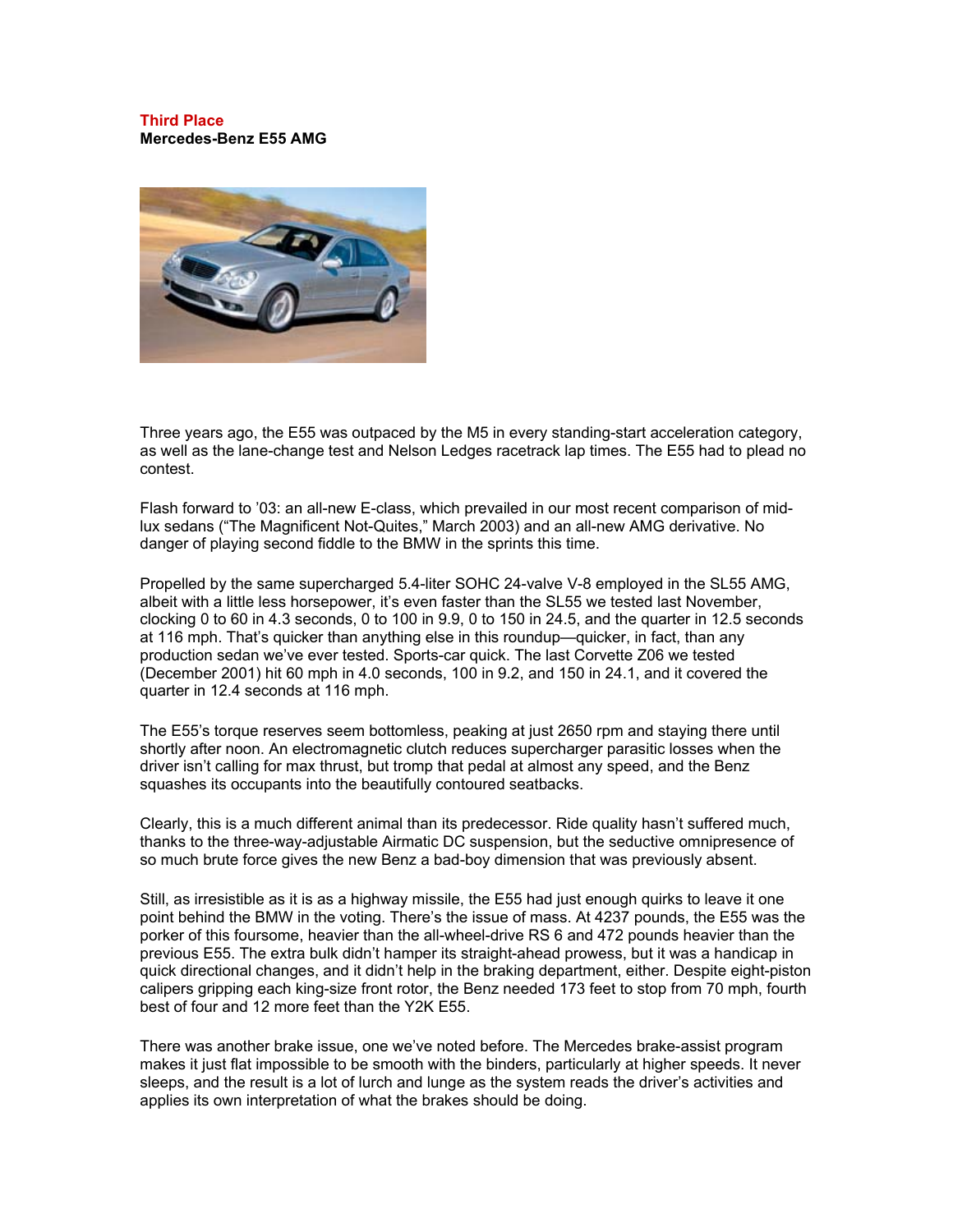#### **Third Place Mercedes-Benz E55 AMG**



Three years ago, the E55 was outpaced by the M5 in every standing-start acceleration category, as well as the lane-change test and Nelson Ledges racetrack lap times. The E55 had to plead no contest.

Flash forward to '03: an all-new E-class, which prevailed in our most recent comparison of midlux sedans ("The Magnificent Not-Quites," March 2003) and an all-new AMG derivative. No danger of playing second fiddle to the BMW in the sprints this time.

Propelled by the same supercharged 5.4-liter SOHC 24-valve V-8 employed in the SL55 AMG, albeit with a little less horsepower, it's even faster than the SL55 we tested last November, clocking 0 to 60 in 4.3 seconds, 0 to 100 in 9.9, 0 to 150 in 24.5, and the quarter in 12.5 seconds at 116 mph. That's quicker than anything else in this roundup—quicker, in fact, than any production sedan we've ever tested. Sports-car quick. The last Corvette Z06 we tested (December 2001) hit 60 mph in 4.0 seconds, 100 in 9.2, and 150 in 24.1, and it covered the quarter in 12.4 seconds at 116 mph.

The E55's torque reserves seem bottomless, peaking at just 2650 rpm and staying there until shortly after noon. An electromagnetic clutch reduces supercharger parasitic losses when the driver isn't calling for max thrust, but tromp that pedal at almost any speed, and the Benz squashes its occupants into the beautifully contoured seatbacks.

Clearly, this is a much different animal than its predecessor. Ride quality hasn't suffered much, thanks to the three-way-adjustable Airmatic DC suspension, but the seductive omnipresence of so much brute force gives the new Benz a bad-boy dimension that was previously absent.

Still, as irresistible as it is as a highway missile, the E55 had just enough quirks to leave it one point behind the BMW in the voting. There's the issue of mass. At 4237 pounds, the E55 was the porker of this foursome, heavier than the all-wheel-drive RS 6 and 472 pounds heavier than the previous E55. The extra bulk didn't hamper its straight-ahead prowess, but it was a handicap in quick directional changes, and it didn't help in the braking department, either. Despite eight-piston calipers gripping each king-size front rotor, the Benz needed 173 feet to stop from 70 mph, fourth best of four and 12 more feet than the Y2K E55.

There was another brake issue, one we've noted before. The Mercedes brake-assist program makes it just flat impossible to be smooth with the binders, particularly at higher speeds. It never sleeps, and the result is a lot of lurch and lunge as the system reads the driver's activities and applies its own interpretation of what the brakes should be doing.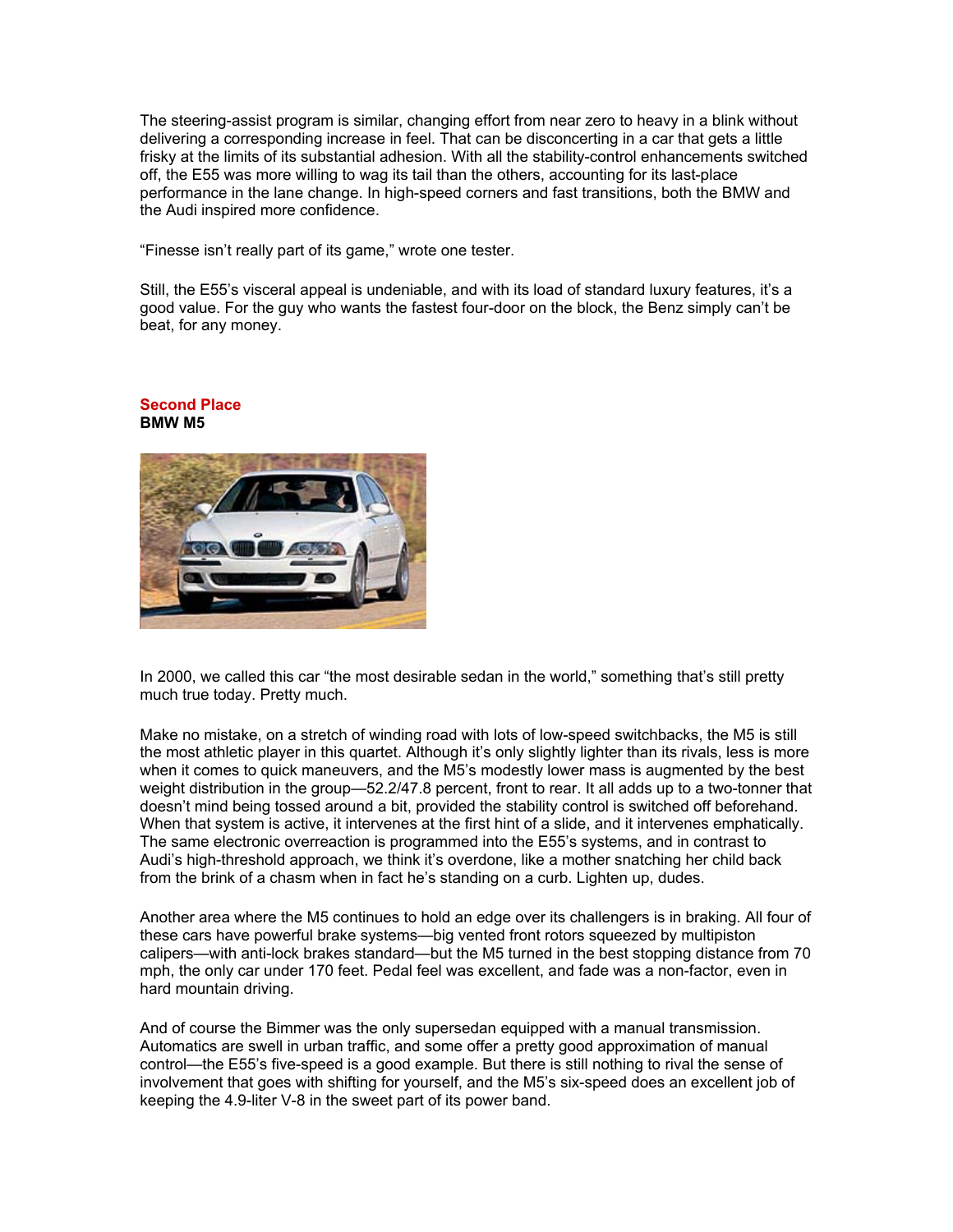The steering-assist program is similar, changing effort from near zero to heavy in a blink without delivering a corresponding increase in feel. That can be disconcerting in a car that gets a little frisky at the limits of its substantial adhesion. With all the stability-control enhancements switched off, the E55 was more willing to wag its tail than the others, accounting for its last-place performance in the lane change. In high-speed corners and fast transitions, both the BMW and the Audi inspired more confidence.

"Finesse isn't really part of its game," wrote one tester.

Still, the E55's visceral appeal is undeniable, and with its load of standard luxury features, it's a good value. For the guy who wants the fastest four-door on the block, the Benz simply can't be beat, for any money.



#### **Second Place BMW M5**

In 2000, we called this car "the most desirable sedan in the world," something that's still pretty much true today. Pretty much.

Make no mistake, on a stretch of winding road with lots of low-speed switchbacks, the M5 is still the most athletic player in this quartet. Although it's only slightly lighter than its rivals, less is more when it comes to quick maneuvers, and the M5's modestly lower mass is augmented by the best weight distribution in the group—52.2/47.8 percent, front to rear. It all adds up to a two-tonner that doesn't mind being tossed around a bit, provided the stability control is switched off beforehand. When that system is active, it intervenes at the first hint of a slide, and it intervenes emphatically. The same electronic overreaction is programmed into the E55's systems, and in contrast to Audi's high-threshold approach, we think it's overdone, like a mother snatching her child back from the brink of a chasm when in fact he's standing on a curb. Lighten up, dudes.

Another area where the M5 continues to hold an edge over its challengers is in braking. All four of these cars have powerful brake systems—big vented front rotors squeezed by multipiston calipers—with anti-lock brakes standard—but the M5 turned in the best stopping distance from 70 mph, the only car under 170 feet. Pedal feel was excellent, and fade was a non-factor, even in hard mountain driving.

And of course the Bimmer was the only supersedan equipped with a manual transmission. Automatics are swell in urban traffic, and some offer a pretty good approximation of manual control—the E55's five-speed is a good example. But there is still nothing to rival the sense of involvement that goes with shifting for yourself, and the M5's six-speed does an excellent job of keeping the 4.9-liter V-8 in the sweet part of its power band.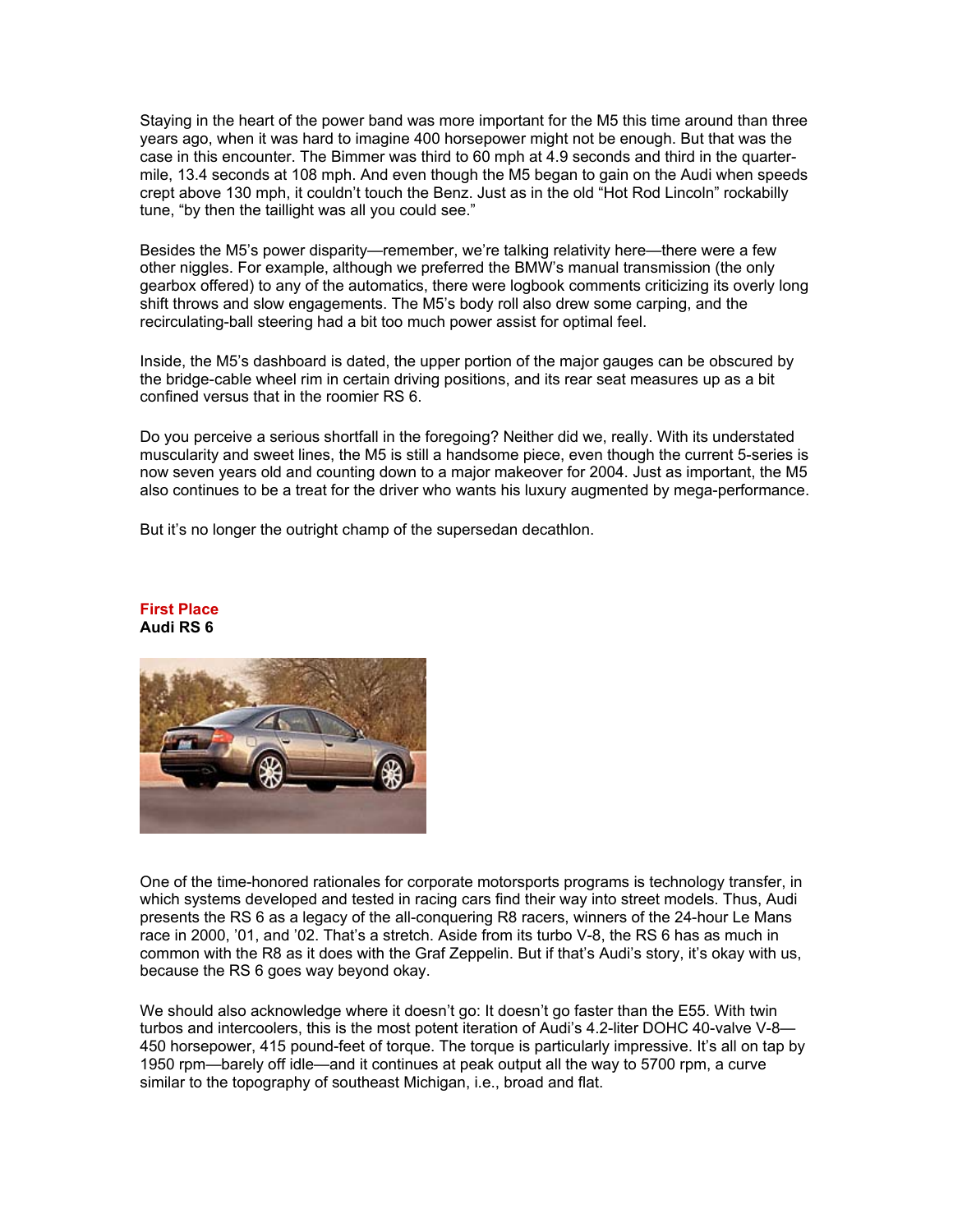Staying in the heart of the power band was more important for the M5 this time around than three years ago, when it was hard to imagine 400 horsepower might not be enough. But that was the case in this encounter. The Bimmer was third to 60 mph at 4.9 seconds and third in the quartermile, 13.4 seconds at 108 mph. And even though the M5 began to gain on the Audi when speeds crept above 130 mph, it couldn't touch the Benz. Just as in the old "Hot Rod Lincoln" rockabilly tune, "by then the taillight was all you could see."

Besides the M5's power disparity—remember, we're talking relativity here—there were a few other niggles. For example, although we preferred the BMW's manual transmission (the only gearbox offered) to any of the automatics, there were logbook comments criticizing its overly long shift throws and slow engagements. The M5's body roll also drew some carping, and the recirculating-ball steering had a bit too much power assist for optimal feel.

Inside, the M5's dashboard is dated, the upper portion of the major gauges can be obscured by the bridge-cable wheel rim in certain driving positions, and its rear seat measures up as a bit confined versus that in the roomier RS 6.

Do you perceive a serious shortfall in the foregoing? Neither did we, really. With its understated muscularity and sweet lines, the M5 is still a handsome piece, even though the current 5-series is now seven years old and counting down to a major makeover for 2004. Just as important, the M5 also continues to be a treat for the driver who wants his luxury augmented by mega-performance.

But it's no longer the outright champ of the supersedan decathlon.



#### **First Place Audi RS 6**

One of the time-honored rationales for corporate motorsports programs is technology transfer, in which systems developed and tested in racing cars find their way into street models. Thus, Audi presents the RS 6 as a legacy of the all-conquering R8 racers, winners of the 24-hour Le Mans race in 2000, '01, and '02. That's a stretch. Aside from its turbo V-8, the RS 6 has as much in common with the R8 as it does with the Graf Zeppelin. But if that's Audi's story, it's okay with us, because the RS 6 goes way beyond okay.

We should also acknowledge where it doesn't go: It doesn't go faster than the E55. With twin turbos and intercoolers, this is the most potent iteration of Audi's 4.2-liter DOHC 40-valve V-8— 450 horsepower, 415 pound-feet of torque. The torque is particularly impressive. It's all on tap by 1950 rpm—barely off idle—and it continues at peak output all the way to 5700 rpm, a curve similar to the topography of southeast Michigan, i.e., broad and flat.